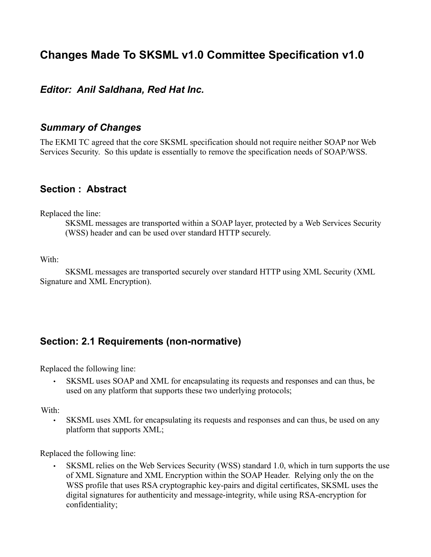# **Changes Made To SKSML v1.0 Committee Specification v1.0**

#### *Editor: Anil Saldhana, Red Hat Inc.*

#### *Summary of Changes*

The EKMI TC agreed that the core SKSML specification should not require neither SOAP nor Web Services Security. So this update is essentially to remove the specification needs of SOAP/WSS.

#### **Section : Abstract**

Replaced the line:

SKSML messages are transported within a SOAP layer, protected by a Web Services Security (WSS) header and can be used over standard HTTP securely.

With:

 SKSML messages are transported securely over standard HTTP using XML Security (XML Signature and XML Encryption).

#### **Section: 2.1 Requirements (non-normative)**

Replaced the following line:

SKSML uses SOAP and XML for encapsulating its requests and responses and can thus, be used on any platform that supports these two underlying protocols;

With:

SKSML uses XML for encapsulating its requests and responses and can thus, be used on any platform that supports XML;

Replaced the following line:

• SKSML relies on the Web Services Security (WSS) standard 1.0, which in turn supports the use of XML Signature and XML Encryption within the SOAP Header. Relying only the on the WSS profile that uses RSA cryptographic key-pairs and digital certificates, SKSML uses the digital signatures for authenticity and message-integrity, while using RSA-encryption for confidentiality;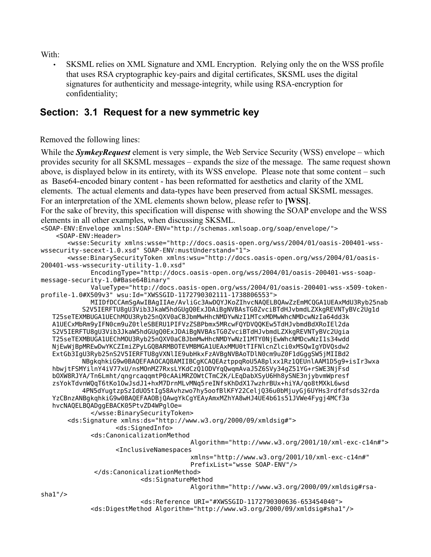With:

• SKSML relies on XML Signature and XML Encryption. Relying only the on the WSS profile that uses RSA cryptographic key-pairs and digital certificates, SKSML uses the digital signatures for authenticity and message-integrity, while using RSA-encryption for confidentiality;

### **Section: 3.1 Request for a new symmetric key**

Removed the following lines:

While the *SymkeyRequest* element is very simple, the Web Service Security (WSS) envelope – which provides security for all SKSML messages – expands the size of the message. The same request shown above, is displayed below in its entirety, with its WSS envelope. Please note that some content – such as Base64-encoded binary content - has been reformatted for aesthetics and clarity of the XML elements. The actual elements and data-types have been preserved from actual SKSML messages. For an interpretation of the XML elements shown below, please refer to **[WSS]**. For the sake of brevity, this specification will dispense with showing the SOAP envelope and the WSS elements in all other examples, when discussing SKSML. <SOAP-ENV:Envelope xmlns:SOAP-ENV="http://schemas.xmlsoap.org/soap/envelope/"> <SOAP-ENV:Header> <wsse:Security xmlns:wsse="http://docs.oasis-open.org/wss/2004/01/oasis-200401-wsswssecurity-secext-1.0.xsd" SOAP-ENV:mustUnderstand="1"> <wsse:BinarySecurityToken xmlns:wsu="http://docs.oasis-open.org/wss/2004/01/oasis-200401-wss-wssecurity-utility-1.0.xsd" EncodingType="http://docs.oasis-open.org/wss/2004/01/oasis-200401-wss-soapmessage-security-1.0#Base64Binary" ValueType="http://docs.oasis-open.org/wss/2004/01/oasis-200401-wss-x509-tokenprofile-1.0#X509v3" wsu:Id="XWSSGID-1172790302111-1738806553"> MIIDfDCCAmSgAwIBAgIIAe/AvliGc3AwDQYJKoZIhvcNAQELBQAwZzEmMCQGA1UEAxMdU3Ryb25nab S2V5IERFTU8gU3Vib3JkaW5hdGUgQ0ExJDAiBgNVBAsTG0ZvciBTdHJvbmdLZXkgREVNTyBVc2Ug1d T25seTEXMBUGA1UEChMOU3Ryb25nQXV0aCBJbmMwHhcNMDYwNzI1MTcxMDMwWhcNMDcwNzIa64dd3k A1UECxMbRm9yIFN0cm9uZ0tleSBERU1PIFVzZSBPbmx5MRcwFQYDVQQKEw5TdHJvbmdBdXRoIEl2da S2V5IERFTU8gU3Vib3JkaW5hdGUgQ0ExJDAiBgNVBAsTG0ZvciBTdHJvbmdLZXkgREVNTyBVc2Ugia T25seTEXMBUGA1UEChMOU3Ryb25nQXV0aCBJbmMwHhcNMDYwNzI1MTY0NjEwWhcNMDcwNzI1s34wdd NjEwWjBpMREwDwYKCZImiZPyLGQBARMBOTEVMBMGA1UEAxMMU0tTIFNlcnZlci0xMSQwIgYDVQsdw2 ExtGb3IgU3Ryb25nS2V5IERFTU8gVXNlIE9ubHkxFzAVBgNVBAoTDlN0cm9uZ0F1dGggSW5jMIIBd2 NBgkqhkiG9w0BAQEFAAOCAQ8AMIIBCgKCAQEAztppqRoU5A8plxx1Rz1QEUnlAAM1D5g9+isIr3wxa hbwjtFSMYilnY4iV77xU/nsMOnMZ7RxsLYKdCzQ1ODVYqQwqmAvaJ5Z6SVy34gZ51YG+rSWE3NjFsd bOXW8RJYA/Tn6Lmht/qngrcaqqmtP0cAAiMRZOWtCTmC2K/LEqDabXSyU6Hh8ySNE3njybvmWpresf zsYokTdvnWQqT6tKo1OwJsdJ1+hxM7DrnMLvMNq5reINfsKhDdX17wzhrBUx+hiYA/qo8tMXkL6wsd 4PN5dYugtzpSzIdUO5tIg58Avhzwo7hy5oofBlKFY22CeljQ36u0bMjuyGj6UYHs3rdfdfsds32rda YzCBnzANBgkqhkiG9w0BAQEFAAOBjQAwgYkCgYEAyAmxMZhYA8wHJ4UE4b61s51JVWe4Fygj4MCf3a hvcNAQELBQADggEBACK05PtvZD4WPglOe= </wsse:BinarySecurityToken> <ds:Signature xmlns:ds="http://www.w3.org/2000/09/xmldsig#"> <ds:SignedInfo> <ds:CanonicalizationMethod Algorithm="http://www.w3.org/2001/10/xml-exc-c14n#"> <InclusiveNamespaces xmlns="http://www.w3.org/2001/10/xml-exc-c14n#" PrefixList="wsse SOAP-ENV"/> </ds:CanonicalizationMethod> <ds:SignatureMethod Algorithm="http://www.w3.org/2000/09/xmldsig#rsasha1"/> <ds:Reference URI="#XWSSGID-1172790300636-653454040"> <ds:DigestMethod Algorithm="http://www.w3.org/2000/09/xmldsig#sha1"/>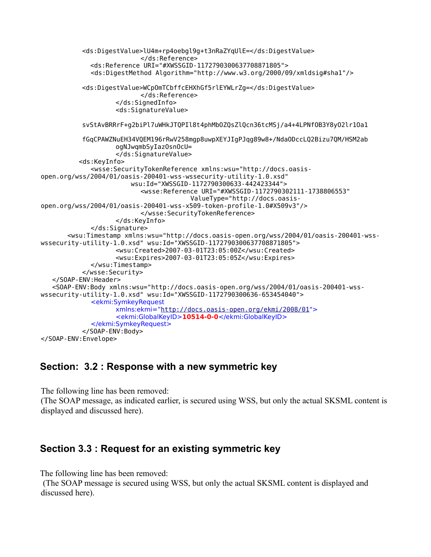```
<ds:DigestValue>lU4m+rp4oebgl9g+t3nRaZYqUlE=</ds:DigestValue>
                          </ds:Reference>
              <ds:Reference URI="#XWSSGID-1172790300637708871805">
              <ds:DigestMethod Algorithm="http://www.w3.org/2000/09/xmldsig#sha1"/>
           <ds:DigestValue>WCpOmTCbffcEHXhGf5rlEYWLrZg=</ds:DigestValue>
                          </ds:Reference>
                    </ds:SignedInfo>
                     <ds:SignatureValue>
           svStAvBRRrF+g2biPl7uWHkJTQPIl8t4phMbOZQsZlQcn36tcMSj/a4+4LPNfOB3Y8yO2lr1Oa1
           fGqCPAWZNuEH34VQEM196rRwV258mgp8uwpXEYJIgPJqg89w8+/NdaODccLQ2Bizu7QM/HSM2ab
                    ogNJwqmbSyIazOsnOcU=
                    </ds:SignatureValue>
           <ds:KeyInfo>
              <wsse:SecurityTokenReference xmlns:wsu="http://docs.oasis-
open.org/wss/2004/01/oasis-200401-wss-wssecurity-utility-1.0.xsd"
                         wsu:Id="XWSSGID-1172790300633-442423344">
                          <wsse:Reference URI="#XWSSGID-1172790302111-1738806553" 
                                        ValueType="http://docs.oasis-
open.org/wss/2004/01/oasis-200401-wss-x509-token-profile-1.0#X509v3"/>
                          </wsse:SecurityTokenReference>
                    </ds:KeyInfo>
             </ds:Signature>
        <wsu:Timestamp xmlns:wsu="http://docs.oasis-open.org/wss/2004/01/oasis-200401-wss-
wssecurity-utility-1.0.xsd" wsu:Id="XWSSGID-1172790300637708871805">
                    <wsu:Created>2007-03-01T23:05:00Z</wsu:Created>
                    <wsu:Expires>2007-03-01T23:05:05Z</wsu:Expires>
             </wsu:Timestamp>
           </wsse:Security>
    </SOAP-ENV:Header>
    <SOAP-ENV:Body xmlns:wsu="http://docs.oasis-open.org/wss/2004/01/oasis-200401-wss-
wssecurity-utility-1.0.xsd" wsu:Id="XWSSGID-1172790300636-653454040">
             <ekmi:SymkeyRequest
                   xmlns:ekmi="http://docs.oasis-open.org/ekmi/2008/01">
                    <ekmi:GlobalKeyID>10514-0-0</ekmi:GlobalKeyID>
             </ekmi:SymkeyRequest>
           </SOAP-ENV:Body>
</SOAP-ENV:Envelope>
```
#### **Section: 3.2 : Response with a new symmetric key**

The following line has been removed:

(The SOAP message, as indicated earlier, is secured using WSS, but only the actual SKSML content is displayed and discussed here).

#### **Section 3.3 : Request for an existing symmetric key**

The following line has been removed:

(The SOAP message is secured using WSS, but only the actual SKSML content is displayed and discussed here).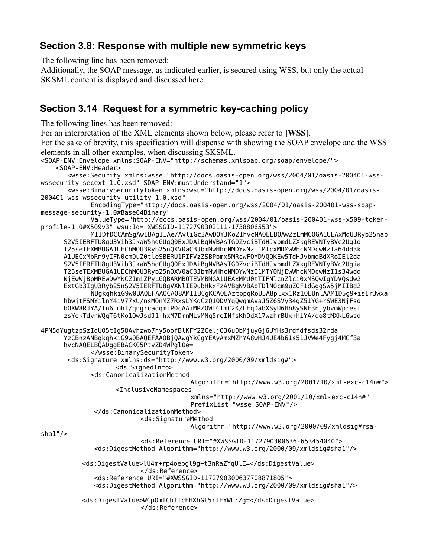## **Section 3.8: Response with multiple new symmetric keys**

The following line has been removed:

Additionally, the SOAP message, as indicated earlier, is secured using WSS, but only the actual SKSML content is displayed and discussed here.

### **Section 3.14 Request for a symmetric key-caching policy**

The following lines has been removed:

For an interpretation of the XML elements shown below, please refer to **[WSS]**.

For the sake of brevity, this specification will dispense with showing the SOAP envelope and the WSS elements in all other examples, when discussing SKSML.

```
<SOAP-ENV:Envelope xmlns:SOAP-ENV="http://schemas.xmlsoap.org/soap/envelope/">
     <SOAP-ENV:Header>
        <wsse:Security xmlns:wsse="http://docs.oasis-open.org/wss/2004/01/oasis-200401-wss-
wssecurity-secext-1.0.xsd" SOAP-ENV:mustUnderstand="1">
        <wsse:BinarySecurityToken xmlns:wsu="http://docs.oasis-open.org/wss/2004/01/oasis-
200401-wss-wssecurity-utility-1.0.xsd" 
             EncodingType="http://docs.oasis-open.org/wss/2004/01/oasis-200401-wss-soap-
message-security-1.0#Base64Binary" 
             ValueType="http://docs.oasis-open.org/wss/2004/01/oasis-200401-wss-x509-token-
profile-1.0#X509v3" wsu:Id="XWSSGID-1172790302111-1738806553">
             MIIDfDCCAmSgAwIBAgIIAe/AvliGc3AwDQYJKoZIhvcNAQELBQAwZzEmMCQGA1UEAxMdU3Ryb25nab
       S2V5IERFTU8gU3Vib3JkaW5hdGUgQ0ExJDAiBgNVBAsTG0ZvciBTdHJvbmdLZXkgREVNTyBVc2Ug1d
       T25seTEXMBUGA1UEChMOU3Ryb25nQXV0aCBJbmMwHhcNMDYwNzI1MTcxMDMwWhcNMDcwNzIa64dd3k
       A1UECxMbRm9yIFN0cm9uZ0tleSBERU1PIFVzZSBPbmx5MRcwFQYDVQQKEw5TdHJvbmdBdXRoIEl2da
       S2V5IERFTU8gU3Vib3JkaW5hdGUgQ0ExJDAiBgNVBAsTG0ZvciBTdHJvbmdLZXkgREVNTyBVc2Ugia
       T25seTEXMBUGA1UEChMOU3Ryb25nQXV0aCBJbmMwHhcNMDYwNzI1MTY0NjEwWhcNMDcwNzI1s34wdd
       NjEwWjBpMREwDwYKCZImiZPyLGQBARMBOTEVMBMGA1UEAxMMU0tTIFNlcnZlci0xMSQwIgYDVQsdw2
       ExtGb3IgU3Ryb25nS2V5IERFTU8gVXNlIE9ubHkxFzAVBgNVBAoTDlN0cm9uZ0F1dGggSW5jMIIBd2
             NBgkqhkiG9w0BAQEFAAOCAQ8AMIIBCgKCAQEAztppqRoU5A8plxx1Rz1QEUnlAAM1D5g9+isIr3wxa
       hbwjtFSMYilnY4iV77xU/nsMOnMZ7RxsLYKdCzQ1ODVYqQwqmAvaJ5Z6SVy34gZ51YG+rSWE3NjFsd
       bOXW8RJYA/Tn6Lmht/qngrcaqqmtP0cAAiMRZOWtCTmC2K/LEqDabXSyU6Hh8ySNE3njybvmWpresf
       zsYokTdvnWQqT6tKo1OwJsdJ1+hxM7DrnMLvMNq5reINfsKhDdX17wzhrBUx+hiYA/qo8tMXkL6wsd
4PN5dYugtzpSzIdUO5tIg58Avhzwo7hy5oofBlKFY22CeljQ36u0bMjuyGj6UYHs3rdfdfsds32rda
       YzCBnzANBgkqhkiG9w0BAQEFAAOBjQAwgYkCgYEAyAmxMZhYA8wHJ4UE4b61s51JVWe4Fygj4MCf3a
       hvcNAQELBQADggEBACK05PtvZD4WPglOe=
             </wsse:BinarySecurityToken>
        <ds:Signature xmlns:ds="http://www.w3.org/2000/09/xmldsig#">
                    <ds:SignedInfo>
              <ds:CanonicalizationMethod 
                                        Algorithm="http://www.w3.org/2001/10/xml-exc-c14n#">
                     <InclusiveNamespaces 
                                        xmlns="http://www.w3.org/2001/10/xml-exc-c14n#" 
                                        PrefixList="wsse SOAP-ENV"/>
               </ds:CanonicalizationMethod>
                          <ds:SignatureMethod 
                                        Algorithm="http://www.w3.org/2000/09/xmldsig#rsa-
sha1"/>
                          <ds:Reference URI="#XWSSGID-1172790300636-653454040">
               <ds:DigestMethod Algorithm="http://www.w3.org/2000/09/xmldsig#sha1"/>
           <ds:DigestValue>lU4m+rp4oebgl9g+t3nRaZYqUlE=</ds:DigestValue>
                          </ds:Reference>
               <ds:Reference URI="#XWSSGID-1172790300637708871805">
               <ds:DigestMethod Algorithm="http://www.w3.org/2000/09/xmldsig#sha1"/>
           <ds:DigestValue>WCpOmTCbffcEHXhGf5rlEYWLrZg=</ds:DigestValue>
                          </ds:Reference>
```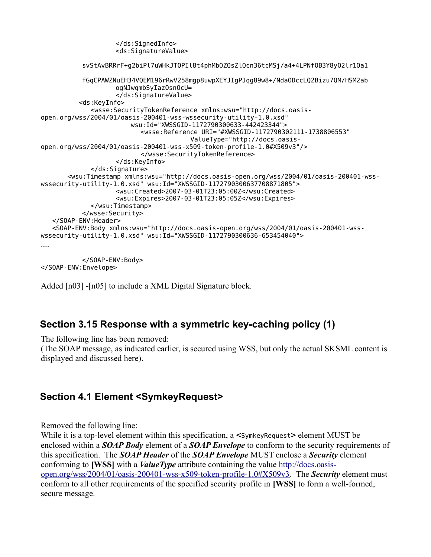```
</ds:SignedInfo>
                     <ds:SignatureValue>
           svStAvBRRrF+g2biPl7uWHkJTQPIl8t4phMbOZQsZlQcn36tcMSj/a4+4LPNfOB3Y8yO2lr1Oa1
           fGqCPAWZNuEH34VQEM196rRwV258mgp8uwpXEYJIgPJqg89w8+/NdaODccLQ2Bizu7QM/HSM2ab
                    ogNJwqmbSyIazOsnOcU=
                    </ds:SignatureValue>
           <ds:KeyInfo>
              <wsse:SecurityTokenReference xmlns:wsu="http://docs.oasis-
open.org/wss/2004/01/oasis-200401-wss-wssecurity-utility-1.0.xsd"
                         wsu:Id="XWSSGID-1172790300633-442423344">
                          <wsse:Reference URI="#XWSSGID-1172790302111-1738806553" 
                                        ValueType="http://docs.oasis-
open.org/wss/2004/01/oasis-200401-wss-x509-token-profile-1.0#X509v3"/>
                          </wsse:SecurityTokenReference>
                    </ds:KeyInfo>
             </ds:Signature>
        <wsu:Timestamp xmlns:wsu="http://docs.oasis-open.org/wss/2004/01/oasis-200401-wss-
wssecurity-utility-1.0.xsd" wsu:Id="XWSSGID-1172790300637708871805">
                    <wsu:Created>2007-03-01T23:05:00Z</wsu:Created>
                    <wsu:Expires>2007-03-01T23:05:05Z</wsu:Expires>
             </wsu:Timestamp>
           </wsse:Security>
    </SOAP-ENV:Header>
    <SOAP-ENV:Body xmlns:wsu="http://docs.oasis-open.org/wss/2004/01/oasis-200401-wss-
wssecurity-utility-1.0.xsd" wsu:Id="XWSSGID-1172790300636-653454040">
....
           </SOAP-ENV:Body>
```
</SOAP-ENV:Envelope>

Added [n03] -[n05] to include a XML Digital Signature block.

#### **Section 3.15 Response with a symmetric key-caching policy (1)**

The following line has been removed:

(The SOAP message, as indicated earlier, is secured using WSS, but only the actual SKSML content is displayed and discussed here).

## **Section 4.1 Element <SymkeyRequest>**

Removed the following line:

While it is a top-level element within this specification, a  $\leq$  symkeyRequest > element MUST be enclosed within a *SOAP Body* element of a *SOAP Envelope* to conform to the security requirements of this specification. The *SOAP Header* of the *SOAP Envelope* MUST enclose a *Security* element conforming to **[WSS]** with a *ValueType* attribute containing the value [http://docs.oasis](http://docs.oasis-open.org/wss/2004/01/oasis-200401-wss-x509-token-profile-1.0#X509v3)[open.org/wss/2004/01/oasis-200401-wss-x509-token-profile-1.0#X509v3.](http://docs.oasis-open.org/wss/2004/01/oasis-200401-wss-x509-token-profile-1.0#X509v3) The *Security* element must conform to all other requirements of the specified security profile in **[WSS]** to form a well-formed, secure message.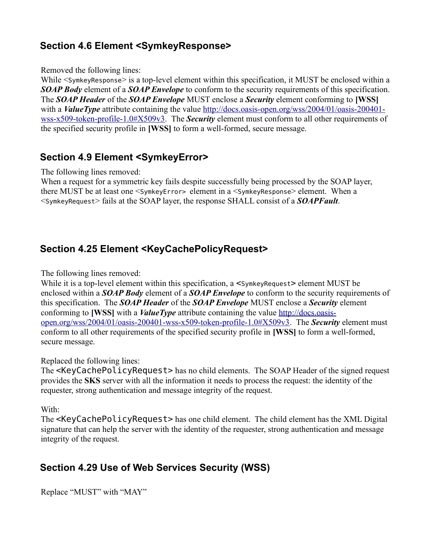# **Section 4.6 Element <SymkeyResponse>**

#### Removed the following lines:

While  $\leq$  symkeyResponse> is a top-level element within this specification, it MUST be enclosed within a *SOAP Body* element of a *SOAP Envelope* to conform to the security requirements of this specification. The *SOAP Header* of the *SOAP Envelope* MUST enclose a *Security* element conforming to **[WSS]** with a *ValueType* attribute containing the value [http://docs.oasis-open.org/wss/2004/01/oasis-200401](http://docs.oasis-open.org/wss/2004/01/oasis-200401-wss-x509-token-profile-1.0#X509v3) [wss-x509-token-profile-1.0#X509v3.](http://docs.oasis-open.org/wss/2004/01/oasis-200401-wss-x509-token-profile-1.0#X509v3) The *Security* element must conform to all other requirements of the specified security profile in **[WSS]** to form a well-formed, secure message.

## **Section 4.9 Element <SymkeyError>**

The following lines removed:

When a request for a symmetric key fails despite successfully being processed by the SOAP layer, there MUST be at least one <SymkeyError> element in a <SymkeyResponse> element. When a <SymkeyRequest> fails at the SOAP layer, the response SHALL consist of a *SOAPFault*.

# **Section 4.25 Element <KeyCachePolicyRequest>**

The following lines removed:

While it is a top-level element within this specification, a  $\leq$  symkeyRequest > element MUST be enclosed within a *SOAP Body* element of a *SOAP Envelope* to conform to the security requirements of this specification. The *SOAP Header* of the *SOAP Envelope* MUST enclose a *Security* element conforming to **[WSS]** with a *ValueType* attribute containing the value [http://docs.oasis](http://docs.oasis-open.org/wss/2004/01/oasis-200401-wss-x509-token-profile-1.0#X509v3)[open.org/wss/2004/01/oasis-200401-wss-x509-token-profile-1.0#X509v3.](http://docs.oasis-open.org/wss/2004/01/oasis-200401-wss-x509-token-profile-1.0#X509v3) The *Security* element must conform to all other requirements of the specified security profile in **[WSS]** to form a well-formed, secure message.

#### Replaced the following lines:

The <KeyCachePolicyRequest> has no child elements. The SOAP Header of the signed request provides the **SKS** server with all the information it needs to process the request: the identity of the requester, strong authentication and message integrity of the request.

#### With:

The <KeyCachePolicyRequest> has one child element. The child element has the XML Digital signature that can help the server with the identity of the requester, strong authentication and message integrity of the request.

# **Section 4.29 Use of Web Services Security (WSS)**

```
Replace "MUST" with "MAY"
```